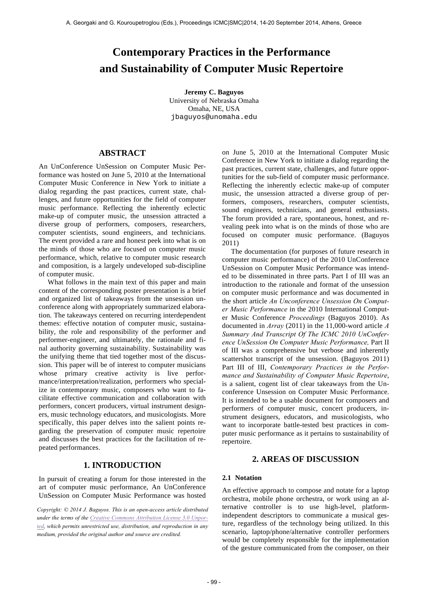# **Contemporary Practices in the Performance and Sustainability of Computer Music Repertoire**

**Jeremy C. Baguyos** University of Nebraska Omaha Omaha, NE, USA jbaguyos@unomaha.edu

# **ABSTRACT**

An UnConference UnSession on Computer Music Performance was hosted on June 5, 2010 at the International Computer Music Conference in New York to initiate a dialog regarding the past practices, current state, challenges, and future opportunities for the field of computer music performance. Reflecting the inherently eclectic make-up of computer music, the unsession attracted a diverse group of performers, composers, researchers, computer scientists, sound engineers, and technicians. The event provided a rare and honest peek into what is on the minds of those who are focused on computer music performance, which, relative to computer music research and composition, is a largely undeveloped sub-discipline of computer music.

 What follows in the main text of this paper and main content of the corresponding poster presentation is a brief and organized list of takeaways from the unsession unconference along with appropriately summarized elaboration. The takeaways centered on recurring interdependent themes: effective notation of computer music, sustainability, the role and responsibility of the performer and performer-engineer, and ultimately, the rationale and final authority governing sustainability. Sustainability was the unifying theme that tied together most of the discussion. This paper will be of interest to computer musicians whose primary creative activity is live performance/interpretation/realization, performers who specialize in contemporary music, composers who want to facilitate effective communication and collaboration with performers, concert producers, virtual instrument designers, music technology educators, and musicologists. More specifically, this paper delves into the salient points regarding the preservation of computer music repertoire and discusses the best practices for the facilitation of repeated performances.

# **1. INTRODUCTION**

In pursuit of creating a forum for those interested in the art of computer music performance, An UnConference UnSession on Computer Music Performance was hosted

*Copyright: © 2014 J. Baguyos. This is an open-access article distributed under the terms of the Creative Commons Attribution License 3.0 Unported, which permits unrestricted use, distribution, and reproduction in any medium, provided the original author and source are credited.*

on June 5, 2010 at the International Computer Music Conference in New York to initiate a dialog regarding the past practices, current state, challenges, and future opportunities for the sub-field of computer music performance. Reflecting the inherently eclectic make-up of computer music, the unsession attracted a diverse group of performers, composers, researchers, computer scientists, sound engineers, technicians, and general enthusiasts. The forum provided a rare, spontaneous, honest, and revealing peek into what is on the minds of those who are focused on computer music performance. (Baguyos 2011)

 The documentation (for purposes of future research in computer music performance) of the 2010 UnConference UnSession on Computer Music Performance was intended to be disseminated in three parts. Part I of III was an introduction to the rationale and format of the unsession on computer music performance and was documented in the short article *An Unconference Unsession On Computer Music Performance* in the 2010 International Computer Music Conference *Proceedings* (Baguyos 2010). As documented in *Array* (2011) in the 11,000-word article *A Summary And Transcript Of The ICMC 2010 UnConference UnSession On Computer Music Performance,* Part II of III was a comprehensive but verbose and inherently scattershot transcript of the unsession. (Baguyos 2011) Part III of III, *Contemporary Practices in the Performance and Sustainability of Computer Music Repertoire*, is a salient, cogent list of clear takeaways from the Unconference Unsession on Computer Music Performance. It is intended to be a usable document for composers and performers of computer music, concert producers, instrument designers, educators, and musicologists, who want to incorporate battle-tested best practices in computer music performance as it pertains to sustainability of repertoire.

# **2. AREAS OF DISCUSSION**

### **2.1 Notation**

An effective approach to compose and notate for a laptop orchestra, mobile phone orchestra, or work using an alternative controller is to use high-level, platformindependent descriptors to communicate a musical gesture, regardless of the technology being utilized. In this scenario, laptop/phone/alternative controller performers would be completely responsible for the implementation of the gesture communicated from the composer, on their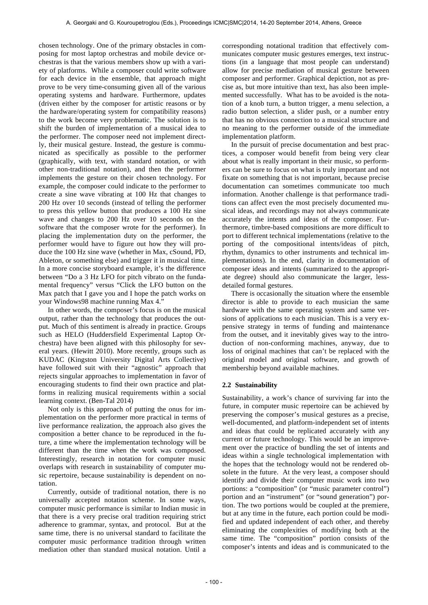chosen technology. One of the primary obstacles in composing for most laptop orchestras and mobile device orchestras is that the various members show up with a variety of platforms. While a composer could write software for each device in the ensemble, that approach might prove to be very time-consuming given all of the various operating systems and hardware. Furthermore, updates (driven either by the composer for artistic reasons or by the hardware/operating system for compatibility reasons) to the work become very problematic. The solution is to shift the burden of implementation of a musical idea to the performer. The composer need not implement directly, their musical gesture. Instead, the gesture is communicated as specifically as possible to the performer (graphically, with text, with standard notation, or with other non-traditional notation), and then the performer implements the gesture on their chosen technology. For example, the composer could indicate to the performer to create a sine wave vibrating at 100 Hz that changes to 200 Hz over 10 seconds (instead of telling the performer to press this yellow button that produces a 100 Hz sine wave and changes to 200 Hz over 10 seconds on the software that the composer wrote for the performer). In placing the implementation duty on the performer, the performer would have to figure out how they will produce the 100 Hz sine wave (whether in Max, cSound, PD, Ableton, or something else) and trigger it in musical time. In a more concise storyboard example, it's the difference between "Do a 3 Hz LFO for pitch vibrato on the fundamental frequency" versus "Click the LFO button on the Max patch that I gave you and I hope the patch works on your Windows98 machine running Max 4."

 In other words, the composer's focus is on the musical output, rather than the technology that produces the output. Much of this sentiment is already in practice. Groups such as HELO (Huddersfield Experimental Laptop Orchestra) have been aligned with this philosophy for several years. (Hewitt 2010). More recently, groups such as KUDAC (Kingston University Digital Arts Collective) have followed suit with their "agnostic" approach that rejects singular approaches to implementation in favor of encouraging students to find their own practice and platforms in realizing musical requirements within a social learning context. (Ben-Tal 2014)

 Not only is this approach of putting the onus for implementation on the performer more practical in terms of live performance realization, the approach also gives the composition a better chance to be reproduced in the future, a time where the implementation technology will be different than the time when the work was composed. Interestingly, research in notation for computer music overlaps with research in sustainability of computer music repertoire, because sustainability is dependent on notation.

 Currently, outside of traditional notation, there is no universally accepted notation scheme. In some ways, computer music performance is similar to Indian music in that there is a very precise oral tradition requiring strict adherence to grammar, syntax, and protocol. But at the same time, there is no universal standard to facilitate the computer music performance tradition through written mediation other than standard musical notation. Until a

corresponding notational tradition that effectively communicates computer music gestures emerges, text instructions (in a language that most people can understand) allow for precise mediation of musical gesture between composer and performer. Graphical depiction, not as precise as, but more intuitive than text, has also been implemented successfully. What has to be avoided is the notation of a knob turn, a button trigger, a menu selection, a radio button selection, a slider push, or a number entry that has no obvious connection to a musical structure and no meaning to the performer outside of the immediate implementation platform.

 In the pursuit of precise documentation and best practices, a composer would benefit from being very clear about what is really important in their music, so performers can be sure to focus on what is truly important and not fixate on something that is not important, because precise documentation can sometimes communicate too much information. Another challenge is that performance traditions can affect even the most precisely documented musical ideas, and recordings may not always communicate accurately the intents and ideas of the composer. Furthermore, timbre-based compositions are more difficult to port to different technical implementations (relative to the porting of the compositional intents/ideas of pitch, rhythm, dynamics to other instruments and technical implementations). In the end, clarity in documentation of composer ideas and intents (summarized to the appropriate degree) should also communicate the larger, lessdetailed formal gestures.

 There is occasionally the situation where the ensemble director is able to provide to each musician the same hardware with the same operating system and same versions of applications to each musician. This is a very expensive strategy in terms of funding and maintenance from the outset, and it inevitably gives way to the introduction of non-conforming machines, anyway, due to loss of original machines that can't be replaced with the original model and original software, and growth of membership beyond available machines.

#### **2.2 Sustainability**

Sustainability, a work's chance of surviving far into the future, in computer music repertoire can be achieved by preserving the composer's musical gestures as a precise, well-documented, and platform-independent set of intents and ideas that could be replicated accurately with any current or future technology. This would be an improvement over the practice of bundling the set of intents and ideas within a single technological implementation with the hopes that the technology would not be rendered obsolete in the future. At the very least, a composer should identify and divide their computer music work into two portions: a "composition" (or "music parameter control") portion and an "instrument" (or "sound generation") portion. The two portions would be coupled at the premiere, but at any time in the future, each portion could be modified and updated independent of each other, and thereby eliminating the complexities of modifying both at the same time. The "composition" portion consists of the composer's intents and ideas and is communicated to the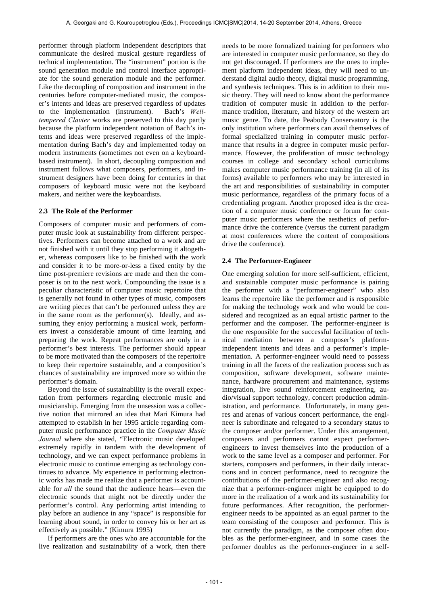performer through platform independent descriptors that communicate the desired musical gesture regardless of technical implementation. The "instrument" portion is the sound generation module and control interface appropriate for the sound generation module and the performer. Like the decoupling of composition and instrument in the centuries before computer-mediated music, the composer's intents and ideas are preserved regardless of updates to the implementation (instrument). Bach's *Welltempered Clavier* works are preserved to this day partly because the platform independent notation of Bach's intents and ideas were preserved regardless of the implementation during Bach's day and implemented today on modern instruments (sometimes not even on a keyboardbased instrument). In short, decoupling composition and instrument follows what composers, performers, and instrument designers have been doing for centuries in that composers of keyboard music were not the keyboard makers, and neither were the keyboardists.

#### **2.3 The Role of the Performer**

Composers of computer music and performers of computer music look at sustainability from different perspectives. Performers can become attached to a work and are not finished with it until they stop performing it altogether, whereas composers like to be finished with the work and consider it to be more-or-less a fixed entity by the time post-premiere revisions are made and then the composer is on to the next work. Compounding the issue is a peculiar characteristic of computer music repertoire that is generally not found in other types of music, composers are writing pieces that can't be performed unless they are in the same room as the performer(s). Ideally, and assuming they enjoy performing a musical work, performers invest a considerable amount of time learning and preparing the work. Repeat performances are only in a performer's best interests. The performer should appear to be more motivated than the composers of the repertoire to keep their repertoire sustainable, and a composition's chances of sustainability are improved more so within the performer's domain.

 Beyond the issue of sustainability is the overall expectation from performers regarding electronic music and musicianship. Emerging from the unsession was a collective notion that mirrored an idea that Mari Kimura had attempted to establish in her 1995 article regarding computer music performance practice in the *Computer Music Journal* where she stated, "Electronic music developed extremely rapidly in tandem with the development of technology, and we can expect performance problems in electronic music to continue emerging as technology continues to advance. My experience in performing electronic works has made me realize that a performer is accountable for *all* the sound that the audience hears—even the electronic sounds that might not be directly under the performer's control. Any performing artist intending to play before an audience in any "space" is responsible for learning about sound, in order to convey his or her art as effectively as possible." (Kimura 1995)

 If performers are the ones who are accountable for the live realization and sustainability of a work, then there

needs to be more formalized training for performers who are interested in computer music performance, so they do not get discouraged. If performers are the ones to implement platform independent ideas, they will need to understand digital audio theory, digital music programming, and synthesis techniques. This is in addition to their music theory. They will need to know about the performance tradition of computer music in addition to the performance tradition, literature, and history of the western art music genre. To date, the Peabody Conservatory is the only institution where performers can avail themselves of formal specialized training in computer music performance that results in a degree in computer music performance. However, the proliferation of music technology courses in college and secondary school curriculums makes computer music performance training (in all of its forms) available to performers who may be interested in the art and responsibilities of sustainability in computer music performance, regardless of the primary focus of a credentialing program. Another proposed idea is the creation of a computer music conference or forum for computer music performers where the aesthetics of performance drive the conference (versus the current paradigm at most conferences where the content of compositions drive the conference).

#### **2.4 The Performer-Engineer**

One emerging solution for more self-sufficient, efficient, and sustainable computer music performance is pairing the performer with a "performer-engineer" who also learns the repertoire like the performer and is responsible for making the technology work and who would be considered and recognized as an equal artistic partner to the performer and the composer. The performer-engineer is the one responsible for the successful facilitation of technical mediation between a composer's platformindependent intents and ideas and a performer's implementation. A performer-engineer would need to possess training in all the facets of the realization process such as composition, software development, software maintenance, hardware procurement and maintenance, systems integration, live sound reinforcement engineering, audio/visual support technology, concert production administration, and performance. Unfortunately, in many genres and arenas of various concert performance, the engineer is subordinate and relegated to a secondary status to the composer and/or performer. Under this arrangement, composers and performers cannot expect performerengineers to invest themselves into the production of a work to the same level as a composer and performer. For starters, composers and performers, in their daily interactions and in concert performance, need to recognize the contributions of the performer-engineer and also recognize that a performer-engineer might be equipped to do more in the realization of a work and its sustainability for future performances. After recognition, the performerengineer needs to be appointed as an equal partner to the team consisting of the composer and performer. This is not currently the paradigm, as the composer often doubles as the performer-engineer, and in some cases the performer doubles as the performer-engineer in a self